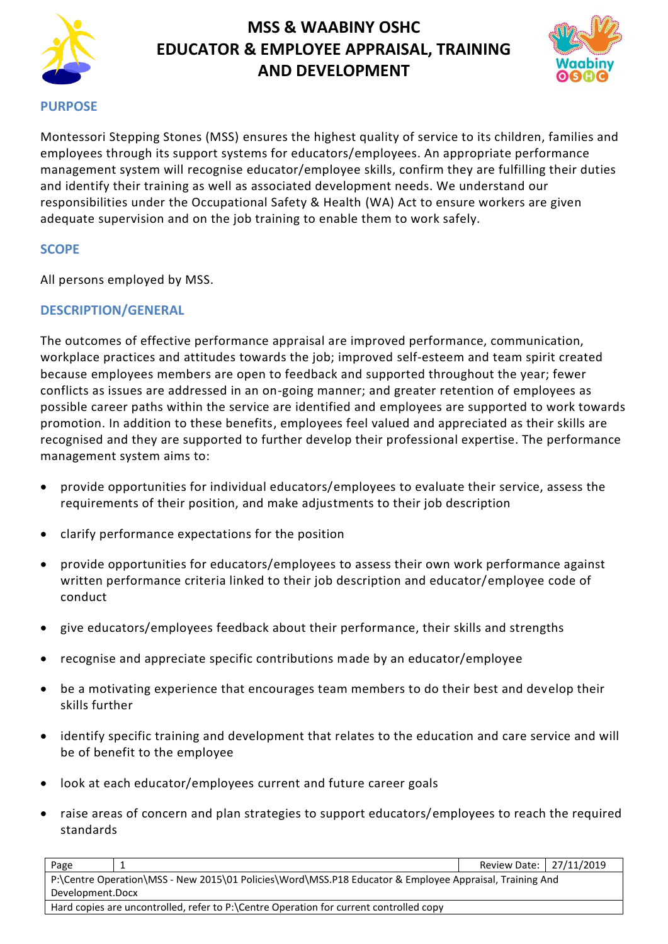



### **PURPOSE**

Montessori Stepping Stones (MSS) ensures the highest quality of service to its children, families and employees through its support systems for educators/employees. An appropriate performance management system will recognise educator/employee skills, confirm they are fulfilling their duties and identify their training as well as associated development needs. We understand our responsibilities under the Occupational Safety & Health (WA) Act to ensure workers are given adequate supervision and on the job training to enable them to work safely.

## **SCOPE**

All persons employed by MSS.

## **DESCRIPTION/GENERAL**

The outcomes of effective performance appraisal are improved performance, communication, workplace practices and attitudes towards the job; improved self-esteem and team spirit created because employees members are open to feedback and supported throughout the year; fewer conflicts as issues are addressed in an on-going manner; and greater retention of employees as possible career paths within the service are identified and employees are supported to work towards promotion. In addition to these benefits, employees feel valued and appreciated as their skills are recognised and they are supported to further develop their professional expertise. The performance management system aims to:

- provide opportunities for individual educators/employees to evaluate their service, assess the requirements of their position, and make adjustments to their job description
- clarify performance expectations for the position
- provide opportunities for educators/employees to assess their own work performance against written performance criteria linked to their job description and educator/employee code of conduct
- give educators/employees feedback about their performance, their skills and strengths
- recognise and appreciate specific contributions made by an educator/employee
- be a motivating experience that encourages team members to do their best and develop their skills further
- identify specific training and development that relates to the education and care service and will be of benefit to the employee
- look at each educator/employees current and future career goals
- raise areas of concern and plan strategies to support educators/employees to reach the required standards

| Page                                                                                                    |  | Review Date: 27/11/2019 |  |  |  |  |
|---------------------------------------------------------------------------------------------------------|--|-------------------------|--|--|--|--|
| P:\Centre Operation\MSS - New 2015\01 Policies\Word\MSS.P18 Educator & Employee Appraisal, Training And |  |                         |  |  |  |  |
| Development.Docx                                                                                        |  |                         |  |  |  |  |
| Hard copies are uncontrolled, refer to P:\Centre Operation for current controlled copy                  |  |                         |  |  |  |  |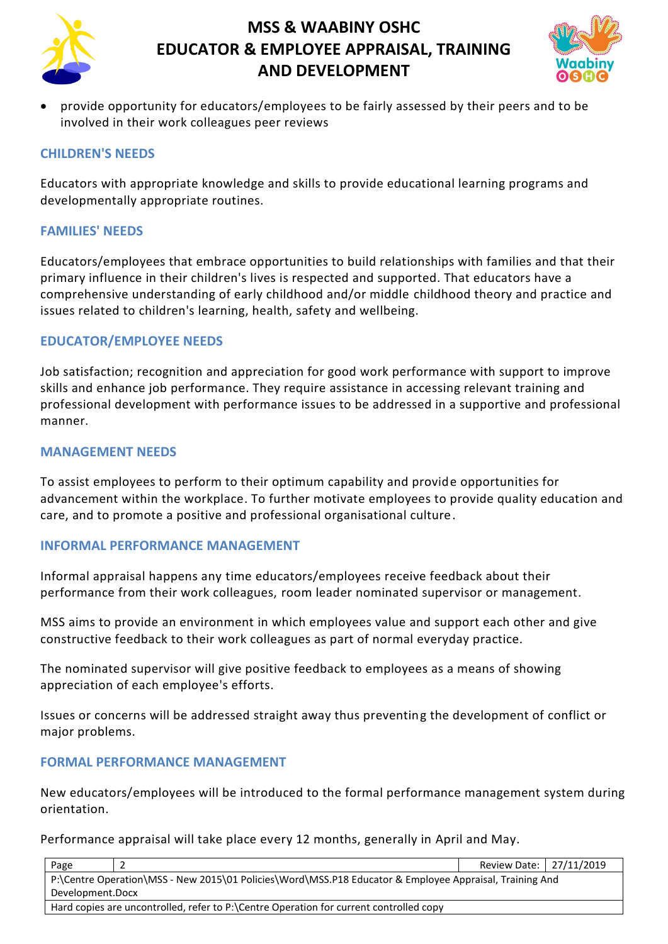



• provide opportunity for educators/employees to be fairly assessed by their peers and to be involved in their work colleagues peer reviews

### **CHILDREN'S NEEDS**

Educators with appropriate knowledge and skills to provide educational learning programs and developmentally appropriate routines.

#### **FAMILIES' NEEDS**

Educators/employees that embrace opportunities to build relationships with families and that their primary influence in their children's lives is respected and supported. That educators have a comprehensive understanding of early childhood and/or middle childhood theory and practice and issues related to children's learning, health, safety and wellbeing.

### **EDUCATOR/EMPLOYEE NEEDS**

Job satisfaction; recognition and appreciation for good work performance with support to improve skills and enhance job performance. They require assistance in accessing relevant training and professional development with performance issues to be addressed in a supportive and professional manner.

#### **MANAGEMENT NEEDS**

To assist employees to perform to their optimum capability and provide opportunities for advancement within the workplace. To further motivate employees to provide quality education and care, and to promote a positive and professional organisational culture.

#### **INFORMAL PERFORMANCE MANAGEMENT**

Informal appraisal happens any time educators/employees receive feedback about their performance from their work colleagues, room leader nominated supervisor or management.

MSS aims to provide an environment in which employees value and support each other and give constructive feedback to their work colleagues as part of normal everyday practice.

The nominated supervisor will give positive feedback to employees as a means of showing appreciation of each employee's efforts.

Issues or concerns will be addressed straight away thus preventing the development of conflict or major problems.

#### **FORMAL PERFORMANCE MANAGEMENT**

New educators/employees will be introduced to the formal performance management system during orientation.

Performance appraisal will take place every 12 months, generally in April and May.

| Page                                                                                                    |  | Review Date:   27/11/2019 |  |  |  |  |
|---------------------------------------------------------------------------------------------------------|--|---------------------------|--|--|--|--|
| P:\Centre Operation\MSS - New 2015\01 Policies\Word\MSS.P18 Educator & Employee Appraisal, Training And |  |                           |  |  |  |  |
| Development.Docx                                                                                        |  |                           |  |  |  |  |
| Hard copies are uncontrolled, refer to P:\Centre Operation for current controlled copy                  |  |                           |  |  |  |  |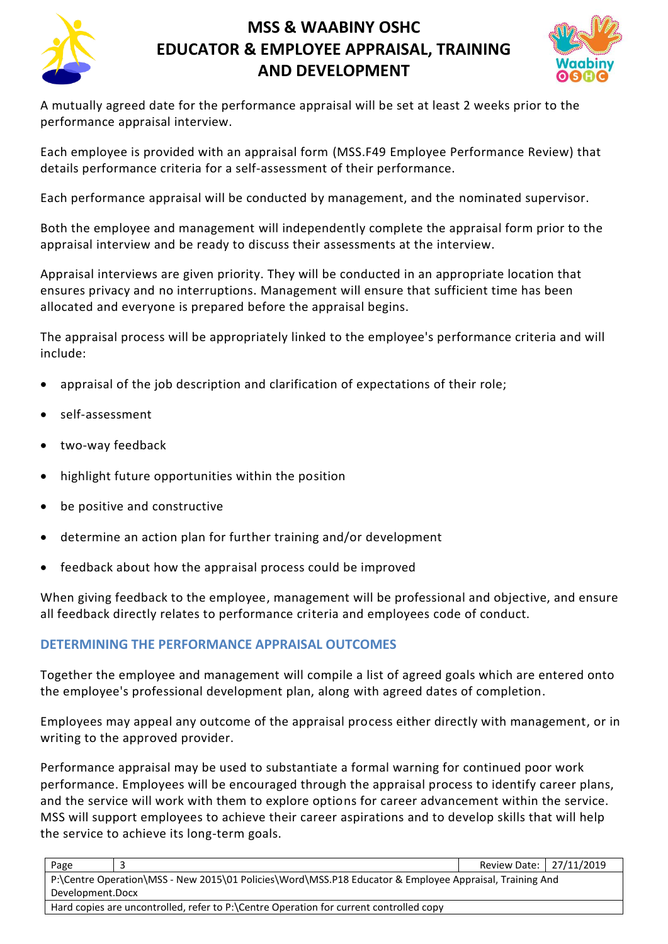



A mutually agreed date for the performance appraisal will be set at least 2 weeks prior to the performance appraisal interview.

Each employee is provided with an appraisal form (MSS.F49 Employee Performance Review) that details performance criteria for a self-assessment of their performance.

Each performance appraisal will be conducted by management, and the nominated supervisor.

Both the employee and management will independently complete the appraisal form prior to the appraisal interview and be ready to discuss their assessments at the interview.

Appraisal interviews are given priority. They will be conducted in an appropriate location that ensures privacy and no interruptions. Management will ensure that sufficient time has been allocated and everyone is prepared before the appraisal begins.

The appraisal process will be appropriately linked to the employee's performance criteria and will include:

- appraisal of the job description and clarification of expectations of their role;
- self-assessment
- two-way feedback
- highlight future opportunities within the position
- be positive and constructive
- determine an action plan for further training and/or development
- feedback about how the appraisal process could be improved

When giving feedback to the employee, management will be professional and objective, and ensure all feedback directly relates to performance criteria and employees code of conduct.

## **DETERMINING THE PERFORMANCE APPRAISAL OUTCOMES**

Together the employee and management will compile a list of agreed goals which are entered onto the employee's professional development plan, along with agreed dates of completion.

Employees may appeal any outcome of the appraisal process either directly with management, or in writing to the approved provider.

Performance appraisal may be used to substantiate a formal warning for continued poor work performance. Employees will be encouraged through the appraisal process to identify career plans, and the service will work with them to explore options for career advancement within the service. MSS will support employees to achieve their career aspirations and to develop skills that will help the service to achieve its long-term goals.

| Page                                                                                                    |  | Review Date: 27/11/2019 |  |  |  |  |
|---------------------------------------------------------------------------------------------------------|--|-------------------------|--|--|--|--|
| P:\Centre Operation\MSS - New 2015\01 Policies\Word\MSS.P18 Educator & Employee Appraisal, Training And |  |                         |  |  |  |  |
| Development.Docx                                                                                        |  |                         |  |  |  |  |
| Hard copies are uncontrolled, refer to P:\Centre Operation for current controlled copy                  |  |                         |  |  |  |  |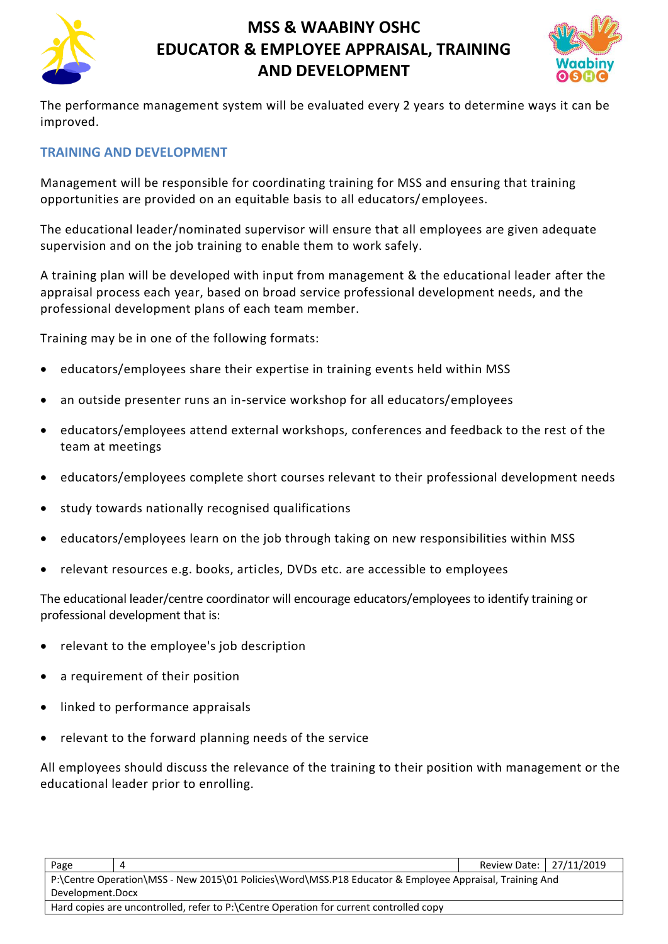



The performance management system will be evaluated every 2 years to determine ways it can be improved.

## **TRAINING AND DEVELOPMENT**

Management will be responsible for coordinating training for MSS and ensuring that training opportunities are provided on an equitable basis to all educators/employees.

The educational leader/nominated supervisor will ensure that all employees are given adequate supervision and on the job training to enable them to work safely.

A training plan will be developed with input from management & the educational leader after the appraisal process each year, based on broad service professional development needs, and the professional development plans of each team member.

Training may be in one of the following formats:

- educators/employees share their expertise in training events held within MSS
- an outside presenter runs an in-service workshop for all educators/employees
- educators/employees attend external workshops, conferences and feedback to the rest of the team at meetings
- educators/employees complete short courses relevant to their professional development needs
- study towards nationally recognised qualifications
- educators/employees learn on the job through taking on new responsibilities within MSS
- relevant resources e.g. books, articles, DVDs etc. are accessible to employees

The educational leader/centre coordinator will encourage educators/employees to identify training or professional development that is:

- relevant to the employee's job description
- a requirement of their position
- linked to performance appraisals
- relevant to the forward planning needs of the service

All employees should discuss the relevance of the training to their position with management or the educational leader prior to enrolling.